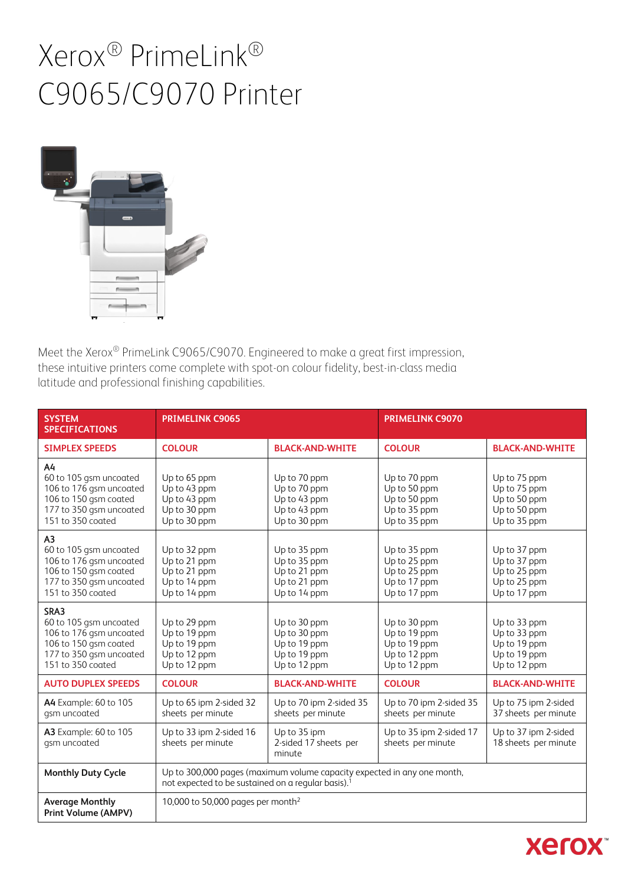

Meet the Xerox® PrimeLink C9065/C9070. Engineered to make a great first impression, these intuitive printers come complete with spot-on colour fidelity, best-in-class media latitude and professional finishing capabilities.

| <b>SYSTEM</b><br><b>SPECIFICATIONS</b>                                                                                                       | <b>PRIMELINK C9065</b>                                                       |                                                                              | <b>PRIMELINK C9070</b>                                                       |                                                                              |
|----------------------------------------------------------------------------------------------------------------------------------------------|------------------------------------------------------------------------------|------------------------------------------------------------------------------|------------------------------------------------------------------------------|------------------------------------------------------------------------------|
| <b>SIMPLEX SPEEDS</b>                                                                                                                        | <b>COLOUR</b>                                                                | <b>BLACK-AND-WHITE</b>                                                       | <b>COLOUR</b>                                                                | <b>BLACK-AND-WHITE</b>                                                       |
| A4<br>60 to 105 gsm uncoated<br>106 to 176 gsm uncoated<br>106 to 150 gsm coated<br>177 to 350 gsm uncoated<br>151 to 350 coated             | Up to 65 ppm<br>Up to 43 ppm<br>Up to 43 ppm<br>Up to 30 ppm<br>Up to 30 ppm | Up to 70 ppm<br>Up to 70 ppm<br>Up to 43 ppm<br>Up to 43 ppm<br>Up to 30 ppm | Up to 70 ppm<br>Up to 50 ppm<br>Up to 50 ppm<br>Up to 35 ppm<br>Up to 35 ppm | Up to 75 ppm<br>Up to 75 ppm<br>Up to 50 ppm<br>Up to 50 ppm<br>Up to 35 ppm |
| A <sub>3</sub><br>60 to 105 gsm uncoated<br>106 to 176 gsm uncoated<br>106 to 150 gsm coated<br>177 to 350 gsm uncoated<br>151 to 350 coated | Up to 32 ppm<br>Up to 21 ppm<br>Up to 21 ppm<br>Up to 14 ppm<br>Up to 14 ppm | Up to 35 ppm<br>Up to 35 ppm<br>Up to 21 ppm<br>Up to 21 ppm<br>Up to 14 ppm | Up to 35 ppm<br>Up to 25 ppm<br>Up to 25 ppm<br>Up to 17 ppm<br>Up to 17 ppm | Up to 37 ppm<br>Up to 37 ppm<br>Up to 25 ppm<br>Up to 25 ppm<br>Up to 17 ppm |
| SRA3<br>60 to 105 gsm uncoated<br>106 to 176 gsm uncoated<br>106 to 150 gsm coated<br>177 to 350 gsm uncoated<br>151 to 350 coated           | Up to 29 ppm<br>Up to 19 ppm<br>Up to 19 ppm<br>Up to 12 ppm<br>Up to 12 ppm | Up to 30 ppm<br>Up to 30 ppm<br>Up to 19 ppm<br>Up to 19 ppm<br>Up to 12 ppm | Up to 30 ppm<br>Up to 19 ppm<br>Up to 19 ppm<br>Up to 12 ppm<br>Up to 12 ppm | Up to 33 ppm<br>Up to 33 ppm<br>Up to 19 ppm<br>Up to 19 ppm<br>Up to 12 ppm |
| <b>AUTO DUPLEX SPEEDS</b>                                                                                                                    | <b>COLOUR</b>                                                                | <b>BLACK-AND-WHITE</b>                                                       | <b>COLOUR</b>                                                                | <b>BLACK-AND-WHITE</b>                                                       |
| <b>A4</b> Example: 60 to 105<br>gsm uncoated                                                                                                 | Up to 65 ipm 2-sided 32<br>sheets per minute                                 | Up to 70 ipm 2-sided 35<br>sheets per minute                                 | Up to 70 ipm 2-sided 35<br>sheets per minute                                 | Up to 75 ipm 2-sided<br>37 sheets per minute                                 |
| <b>A3</b> Example: 60 to 105<br>gsm uncoated                                                                                                 | Up to 33 ipm 2-sided 16<br>sheets per minute                                 | Up to 35 ipm<br>2-sided 17 sheets per<br>minute                              | Up to 35 ipm 2-sided 17<br>sheets per minute                                 | Up to 37 ipm 2-sided<br>18 sheets per minute                                 |
| <b>Monthly Duty Cycle</b>                                                                                                                    | not expected to be sustained on a regular basis). <sup>1</sup>               | Up to 300,000 pages (maximum volume capacity expected in any one month,      |                                                                              |                                                                              |
| <b>Average Monthly</b><br><b>Print Volume (AMPV)</b>                                                                                         | 10,000 to 50,000 pages per month <sup>2</sup>                                |                                                                              |                                                                              |                                                                              |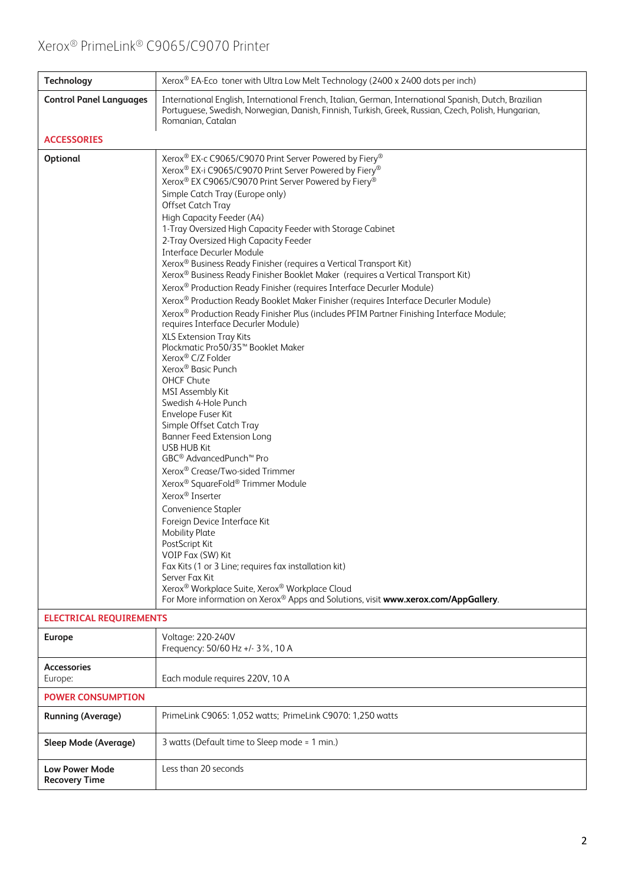| <b>Technology</b>                             | Xerox® EA-Eco toner with Ultra Low Melt Technology (2400 x 2400 dots per inch)                                                                                                                                                                                                                                                                                                                                                                                                                                                                                                                                                                                                                                                                                                                                                                                                                                                                                                                                                                                                                                                                                                                                                                                                                                                                                                                                                                                                                                                                                                                                                                                    |  |
|-----------------------------------------------|-------------------------------------------------------------------------------------------------------------------------------------------------------------------------------------------------------------------------------------------------------------------------------------------------------------------------------------------------------------------------------------------------------------------------------------------------------------------------------------------------------------------------------------------------------------------------------------------------------------------------------------------------------------------------------------------------------------------------------------------------------------------------------------------------------------------------------------------------------------------------------------------------------------------------------------------------------------------------------------------------------------------------------------------------------------------------------------------------------------------------------------------------------------------------------------------------------------------------------------------------------------------------------------------------------------------------------------------------------------------------------------------------------------------------------------------------------------------------------------------------------------------------------------------------------------------------------------------------------------------------------------------------------------------|--|
| <b>Control Panel Languages</b>                | International English, International French, Italian, German, International Spanish, Dutch, Brazilian<br>Portuguese, Swedish, Norwegian, Danish, Finnish, Turkish, Greek, Russian, Czech, Polish, Hungarian,<br>Romanian, Catalan                                                                                                                                                                                                                                                                                                                                                                                                                                                                                                                                                                                                                                                                                                                                                                                                                                                                                                                                                                                                                                                                                                                                                                                                                                                                                                                                                                                                                                 |  |
| <b>ACCESSORIES</b>                            |                                                                                                                                                                                                                                                                                                                                                                                                                                                                                                                                                                                                                                                                                                                                                                                                                                                                                                                                                                                                                                                                                                                                                                                                                                                                                                                                                                                                                                                                                                                                                                                                                                                                   |  |
| Optional                                      | Xerox® EX-c C9065/C9070 Print Server Powered by Fiery®<br>Xerox® EX-i C9065/C9070 Print Server Powered by Fiery®<br>Xerox® EX C9065/C9070 Print Server Powered by Fiery®<br>Simple Catch Tray (Europe only)<br>Offset Catch Tray<br>High Capacity Feeder (A4)<br>1-Tray Oversized High Capacity Feeder with Storage Cabinet<br>2-Tray Oversized High Capacity Feeder<br><b>Interface Decurler Module</b><br>Xerox® Business Ready Finisher (requires a Vertical Transport Kit)<br>Xerox® Business Ready Finisher Booklet Maker (requires a Vertical Transport Kit)<br>Xerox® Production Ready Finisher (requires Interface Decurler Module)<br>Xerox® Production Ready Booklet Maker Finisher (requires Interface Decurler Module)<br>Xerox® Production Ready Finisher Plus (includes PFIM Partner Finishing Interface Module;<br>requires Interface Decurler Module)<br>XLS Extension Tray Kits<br>Plockmatic Pro50/35 <sup>™</sup> Booklet Maker<br>Xerox® C/Z Folder<br>Xerox <sup>®</sup> Basic Punch<br>OHCF Chute<br>MSI Assembly Kit<br>Swedish 4-Hole Punch<br>Envelope Fuser Kit<br>Simple Offset Catch Tray<br><b>Banner Feed Extension Long</b><br>USB HUB Kit<br>GBC <sup>®</sup> AdvancedPunch <sup>™</sup> Pro<br>Xerox® Crease/Two-sided Trimmer<br>Xerox® SquareFold® Trimmer Module<br>Xerox® Inserter<br>Convenience Stapler<br>Foreign Device Interface Kit<br><b>Mobility Plate</b><br>PostScript Kit<br>VOIP Fax (SW) Kit<br>Fax Kits (1 or 3 Line; requires fax installation kit)<br>Server Fax Kit<br>Xerox® Workplace Suite, Xerox® Workplace Cloud<br>For More information on Xerox® Apps and Solutions, visit www.xerox.com/AppGallery. |  |
| <b>ELECTRICAL REQUIREMENTS</b>                |                                                                                                                                                                                                                                                                                                                                                                                                                                                                                                                                                                                                                                                                                                                                                                                                                                                                                                                                                                                                                                                                                                                                                                                                                                                                                                                                                                                                                                                                                                                                                                                                                                                                   |  |
| <b>Europe</b>                                 | Voltage: 220-240V<br>Frequency: 50/60 Hz +/- 3%, 10 A                                                                                                                                                                                                                                                                                                                                                                                                                                                                                                                                                                                                                                                                                                                                                                                                                                                                                                                                                                                                                                                                                                                                                                                                                                                                                                                                                                                                                                                                                                                                                                                                             |  |
| <b>Accessories</b><br>Europe:                 | Each module requires 220V, 10 A                                                                                                                                                                                                                                                                                                                                                                                                                                                                                                                                                                                                                                                                                                                                                                                                                                                                                                                                                                                                                                                                                                                                                                                                                                                                                                                                                                                                                                                                                                                                                                                                                                   |  |
| <b>POWER CONSUMPTION</b>                      |                                                                                                                                                                                                                                                                                                                                                                                                                                                                                                                                                                                                                                                                                                                                                                                                                                                                                                                                                                                                                                                                                                                                                                                                                                                                                                                                                                                                                                                                                                                                                                                                                                                                   |  |
| <b>Running (Average)</b>                      | PrimeLink C9065: 1,052 watts; PrimeLink C9070: 1,250 watts                                                                                                                                                                                                                                                                                                                                                                                                                                                                                                                                                                                                                                                                                                                                                                                                                                                                                                                                                                                                                                                                                                                                                                                                                                                                                                                                                                                                                                                                                                                                                                                                        |  |
| Sleep Mode (Average)                          | 3 watts (Default time to Sleep mode = 1 min.)                                                                                                                                                                                                                                                                                                                                                                                                                                                                                                                                                                                                                                                                                                                                                                                                                                                                                                                                                                                                                                                                                                                                                                                                                                                                                                                                                                                                                                                                                                                                                                                                                     |  |
| <b>Low Power Mode</b><br><b>Recovery Time</b> | Less than 20 seconds                                                                                                                                                                                                                                                                                                                                                                                                                                                                                                                                                                                                                                                                                                                                                                                                                                                                                                                                                                                                                                                                                                                                                                                                                                                                                                                                                                                                                                                                                                                                                                                                                                              |  |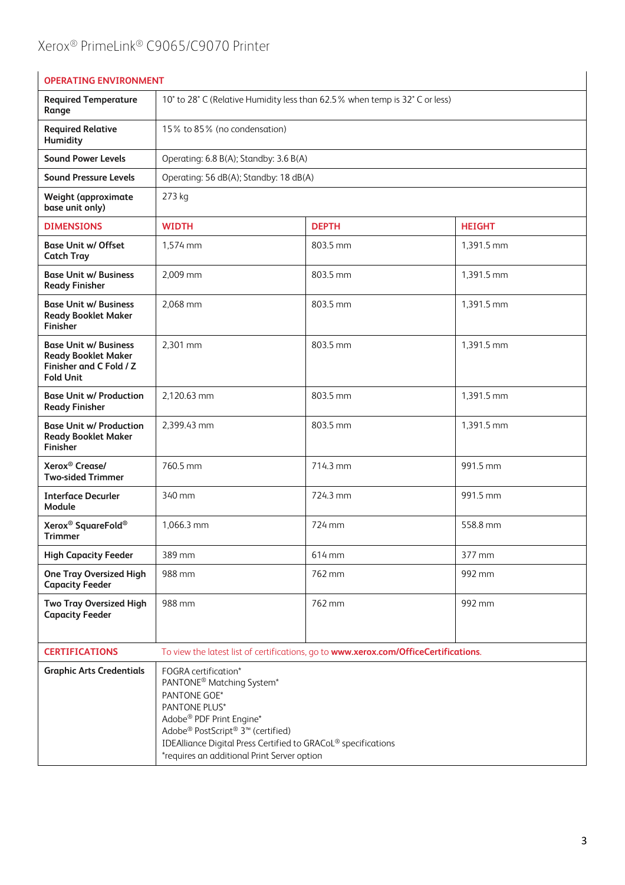| <b>OPERATING ENVIRONMENT</b>                                                                              |                                                                                                                                                                                                                                                                                                                                        |                                                                                      |               |
|-----------------------------------------------------------------------------------------------------------|----------------------------------------------------------------------------------------------------------------------------------------------------------------------------------------------------------------------------------------------------------------------------------------------------------------------------------------|--------------------------------------------------------------------------------------|---------------|
| <b>Required Temperature</b><br>Range                                                                      | 10° to 28° C (Relative Humidity less than 62.5% when temp is 32° C or less)                                                                                                                                                                                                                                                            |                                                                                      |               |
| <b>Required Relative</b><br>Humidity                                                                      | 15% to 85% (no condensation)                                                                                                                                                                                                                                                                                                           |                                                                                      |               |
| <b>Sound Power Levels</b>                                                                                 | Operating: 6.8 B(A); Standby: 3.6 B(A)                                                                                                                                                                                                                                                                                                 |                                                                                      |               |
| <b>Sound Pressure Levels</b>                                                                              | Operating: 56 dB(A); Standby: 18 dB(A)                                                                                                                                                                                                                                                                                                 |                                                                                      |               |
| <b>Weight (approximate</b><br>base unit only)                                                             | 273 kg                                                                                                                                                                                                                                                                                                                                 |                                                                                      |               |
| <b>DIMENSIONS</b>                                                                                         | <b>WIDTH</b>                                                                                                                                                                                                                                                                                                                           | <b>DEPTH</b>                                                                         | <b>HEIGHT</b> |
| <b>Base Unit w/ Offset</b><br><b>Catch Tray</b>                                                           | 1,574 mm                                                                                                                                                                                                                                                                                                                               | 803.5 mm                                                                             | 1,391.5 mm    |
| <b>Base Unit w/ Business</b><br><b>Ready Finisher</b>                                                     | 2,009 mm                                                                                                                                                                                                                                                                                                                               | 803.5 mm                                                                             | 1,391.5 mm    |
| <b>Base Unit w/ Business</b><br><b>Ready Booklet Maker</b><br><b>Finisher</b>                             | 2,068 mm                                                                                                                                                                                                                                                                                                                               | 803.5 mm                                                                             | 1,391.5 mm    |
| <b>Base Unit w/ Business</b><br><b>Ready Booklet Maker</b><br>Finisher and C Fold / Z<br><b>Fold Unit</b> | 2,301 mm                                                                                                                                                                                                                                                                                                                               | 803.5 mm                                                                             | 1,391.5 mm    |
| <b>Base Unit w/ Production</b><br><b>Ready Finisher</b>                                                   | 2,120.63 mm                                                                                                                                                                                                                                                                                                                            | 803.5 mm                                                                             | 1,391.5 mm    |
| <b>Base Unit w/ Production</b><br><b>Ready Booklet Maker</b><br>Finisher                                  | 2,399.43 mm                                                                                                                                                                                                                                                                                                                            | 803.5 mm                                                                             | 1,391.5 mm    |
| Xerox <sup>®</sup> Crease/<br><b>Two-sided Trimmer</b>                                                    | 760.5 mm                                                                                                                                                                                                                                                                                                                               | 714.3 mm                                                                             | 991.5 mm      |
| <b>Interface Decurler</b><br>Module                                                                       | 340 mm                                                                                                                                                                                                                                                                                                                                 | 724.3 mm                                                                             | 991.5 mm      |
| Xerox <sup>®</sup> SquareFold <sup>®</sup><br><b>Trimmer</b>                                              | 1,066.3 mm                                                                                                                                                                                                                                                                                                                             | 724 mm                                                                               | 558.8 mm      |
| <b>High Capacity Feeder</b>                                                                               | 389 mm                                                                                                                                                                                                                                                                                                                                 | 614 mm                                                                               | 377 mm        |
| <b>One Tray Oversized High</b><br><b>Capacity Feeder</b>                                                  | 988 mm                                                                                                                                                                                                                                                                                                                                 | 762 mm                                                                               | 992 mm        |
| Two Tray Oversized High<br><b>Capacity Feeder</b>                                                         | 988 mm                                                                                                                                                                                                                                                                                                                                 | 762 mm                                                                               | 992 mm        |
| <b>CERTIFICATIONS</b>                                                                                     |                                                                                                                                                                                                                                                                                                                                        | To view the latest list of certifications, go to www.xerox.com/OfficeCertifications. |               |
| <b>Graphic Arts Credentials</b>                                                                           | <b>FOGRA</b> certification*<br>PANTONE <sup>®</sup> Matching System <sup>*</sup><br>PANTONE GOE*<br>PANTONE PLUS*<br>Adobe® PDF Print Engine*<br>Adobe <sup>®</sup> PostScript <sup>®</sup> 3 <sup>™</sup> (certified)<br>IDEAlliance Digital Press Certified to GRACoL® specifications<br>*requires an additional Print Server option |                                                                                      |               |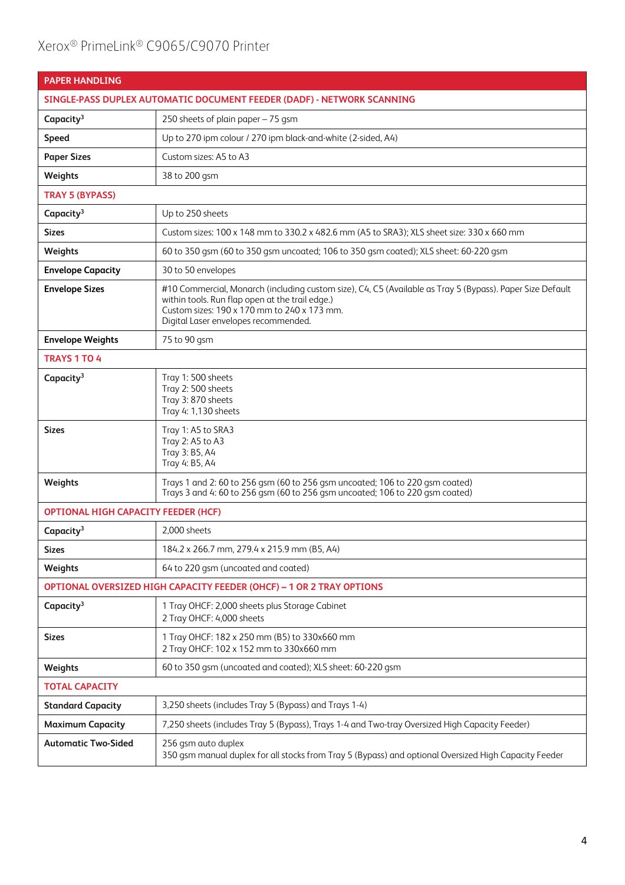| <b>PAPER HANDLING</b>                      |                                                                                                                                                                                                                                                     |
|--------------------------------------------|-----------------------------------------------------------------------------------------------------------------------------------------------------------------------------------------------------------------------------------------------------|
|                                            | SINGLE-PASS DUPLEX AUTOMATIC DOCUMENT FEEDER (DADF) - NETWORK SCANNING                                                                                                                                                                              |
| Capacity <sup>3</sup>                      | 250 sheets of plain paper - 75 gsm                                                                                                                                                                                                                  |
| <b>Speed</b>                               | Up to 270 ipm colour / 270 ipm black-and-white (2-sided, A4)                                                                                                                                                                                        |
| <b>Paper Sizes</b>                         | Custom sizes: A5 to A3                                                                                                                                                                                                                              |
| Weights                                    | 38 to 200 gsm                                                                                                                                                                                                                                       |
| <b>TRAY 5 (BYPASS)</b>                     |                                                                                                                                                                                                                                                     |
| Capacity <sup>3</sup>                      | Up to 250 sheets                                                                                                                                                                                                                                    |
| <b>Sizes</b>                               | Custom sizes: 100 x 148 mm to 330.2 x 482.6 mm (A5 to SRA3); XLS sheet size: 330 x 660 mm                                                                                                                                                           |
| Weights                                    | 60 to 350 gsm (60 to 350 gsm uncoated; 106 to 350 gsm coated); XLS sheet: 60-220 gsm                                                                                                                                                                |
| <b>Envelope Capacity</b>                   | 30 to 50 envelopes                                                                                                                                                                                                                                  |
| <b>Envelope Sizes</b>                      | #10 Commercial, Monarch (including custom size), C4, C5 (Available as Tray 5 (Bypass). Paper Size Default<br>within tools. Run flap open at the trail edge.)<br>Custom sizes: 190 x 170 mm to 240 x 173 mm.<br>Digital Laser envelopes recommended. |
| <b>Envelope Weights</b>                    | 75 to 90 gsm                                                                                                                                                                                                                                        |
| <b>TRAYS 1 TO 4</b>                        |                                                                                                                                                                                                                                                     |
| Capacity <sup>3</sup>                      | Tray 1:500 sheets<br>Tray 2:500 sheets<br>Tray 3:870 sheets<br>Tray 4: 1,130 sheets                                                                                                                                                                 |
| <b>Sizes</b>                               | Tray 1: A5 to SRA3<br>Tray 2: A5 to A3<br>Tray 3: B5, A4<br>Tray 4: B5, A4                                                                                                                                                                          |
| Weights                                    | Trays 1 and 2: 60 to 256 qsm (60 to 256 qsm uncoated; 106 to 220 qsm coated)<br>Trays 3 and 4: 60 to 256 gsm (60 to 256 gsm uncoated; 106 to 220 gsm coated)                                                                                        |
| <b>OPTIONAL HIGH CAPACITY FEEDER (HCF)</b> |                                                                                                                                                                                                                                                     |
| Capacity <sup>3</sup>                      | 2,000 sheets                                                                                                                                                                                                                                        |
| <b>Sizes</b>                               | 184.2 x 266.7 mm, 279.4 x 215.9 mm (B5, A4)                                                                                                                                                                                                         |
| Weights                                    | 64 to 220 qsm (uncoated and coated)                                                                                                                                                                                                                 |
|                                            | OPTIONAL OVERSIZED HIGH CAPACITY FEEDER (OHCF) - 1 OR 2 TRAY OPTIONS                                                                                                                                                                                |
| Capacity <sup>3</sup>                      | 1 Tray OHCF: 2,000 sheets plus Storage Cabinet<br>2 Tray OHCF: 4,000 sheets                                                                                                                                                                         |
| <b>Sizes</b>                               | 1 Tray OHCF: 182 x 250 mm (B5) to 330x660 mm<br>2 Tray OHCF: 102 x 152 mm to 330x660 mm                                                                                                                                                             |
| Weights                                    | 60 to 350 gsm (uncoated and coated); XLS sheet: 60-220 gsm                                                                                                                                                                                          |
| <b>TOTAL CAPACITY</b>                      |                                                                                                                                                                                                                                                     |
| <b>Standard Capacity</b>                   | 3,250 sheets (includes Tray 5 (Bypass) and Trays 1-4)                                                                                                                                                                                               |
| <b>Maximum Capacity</b>                    | 7,250 sheets (includes Tray 5 (Bypass), Trays 1-4 and Two-tray Oversized High Capacity Feeder)                                                                                                                                                      |
| <b>Automatic Two-Sided</b>                 | 256 gsm auto duplex<br>350 gsm manual duplex for all stocks from Tray 5 (Bypass) and optional Oversized High Capacity Feeder                                                                                                                        |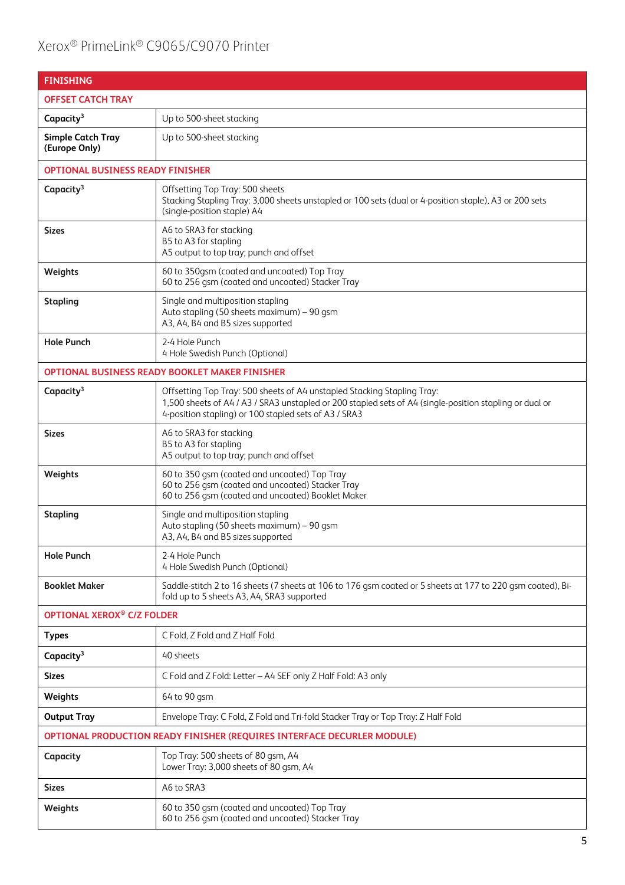| <b>FINISHING</b>                                                        |                                                                                                                                                                                                                                             |  |
|-------------------------------------------------------------------------|---------------------------------------------------------------------------------------------------------------------------------------------------------------------------------------------------------------------------------------------|--|
| <b>OFFSET CATCH TRAY</b>                                                |                                                                                                                                                                                                                                             |  |
| Capacity <sup>3</sup>                                                   | Up to 500-sheet stacking                                                                                                                                                                                                                    |  |
| <b>Simple Catch Tray</b><br>(Europe Only)                               | Up to 500-sheet stacking                                                                                                                                                                                                                    |  |
| <b>OPTIONAL BUSINESS READY FINISHER</b>                                 |                                                                                                                                                                                                                                             |  |
| Capacity <sup>3</sup>                                                   | Offsetting Top Tray: 500 sheets<br>Stacking Stapling Tray: 3,000 sheets unstapled or 100 sets (dual or 4-position staple), A3 or 200 sets<br>(single-position staple) A4                                                                    |  |
| <b>Sizes</b>                                                            | A6 to SRA3 for stacking<br>B5 to A3 for stapling<br>A5 output to top tray; punch and offset                                                                                                                                                 |  |
| Weights                                                                 | 60 to 350gsm (coated and uncoated) Top Tray<br>60 to 256 qsm (coated and uncoated) Stacker Tray                                                                                                                                             |  |
| <b>Stapling</b>                                                         | Single and multiposition stapling<br>Auto stapling (50 sheets maximum) - 90 gsm<br>A3, A4, B4 and B5 sizes supported                                                                                                                        |  |
| <b>Hole Punch</b>                                                       | 2-4 Hole Punch<br>4 Hole Swedish Punch (Optional)                                                                                                                                                                                           |  |
|                                                                         | <b>OPTIONAL BUSINESS READY BOOKLET MAKER FINISHER</b>                                                                                                                                                                                       |  |
| Capacity <sup>3</sup>                                                   | Offsetting Top Tray: 500 sheets of A4 unstapled Stacking Stapling Tray:<br>1,500 sheets of A4 / A3 / SRA3 unstapled or 200 stapled sets of A4 (single-position stapling or dual or<br>4-position stapling) or 100 stapled sets of A3 / SRA3 |  |
| <b>Sizes</b>                                                            | A6 to SRA3 for stacking<br>B5 to A3 for stapling<br>A5 output to top tray; punch and offset                                                                                                                                                 |  |
| Weights                                                                 | 60 to 350 gsm (coated and uncoated) Top Tray<br>60 to 256 gsm (coated and uncoated) Stacker Tray<br>60 to 256 gsm (coated and uncoated) Booklet Maker                                                                                       |  |
| <b>Stapling</b>                                                         | Single and multiposition stapling<br>Auto stapling (50 sheets maximum) - 90 gsm<br>A3, A4, B4 and B5 sizes supported                                                                                                                        |  |
| <b>Hole Punch</b>                                                       | 2-4 Hole Punch<br>4 Hole Swedish Punch (Optional)                                                                                                                                                                                           |  |
| <b>Booklet Maker</b>                                                    | Saddle-stitch 2 to 16 sheets (7 sheets at 106 to 176 gsm coated or 5 sheets at 177 to 220 gsm coated), Bi-<br>fold up to 5 sheets A3, A4, SRA3 supported                                                                                    |  |
| <b>OPTIONAL XEROX<sup>®</sup> C/Z FOLDER</b>                            |                                                                                                                                                                                                                                             |  |
| <b>Types</b>                                                            | C Fold, Z Fold and Z Half Fold                                                                                                                                                                                                              |  |
| Capacity <sup>3</sup>                                                   | 40 sheets                                                                                                                                                                                                                                   |  |
| <b>Sizes</b>                                                            | C Fold and Z Fold: Letter - A4 SEF only Z Half Fold: A3 only                                                                                                                                                                                |  |
| Weights                                                                 | 64 to 90 gsm                                                                                                                                                                                                                                |  |
| <b>Output Tray</b>                                                      | Envelope Tray: C Fold, Z Fold and Tri-fold Stacker Tray or Top Tray: Z Half Fold                                                                                                                                                            |  |
| OPTIONAL PRODUCTION READY FINISHER (REQUIRES INTERFACE DECURLER MODULE) |                                                                                                                                                                                                                                             |  |
| Capacity                                                                | Top Tray: 500 sheets of 80 gsm, A4<br>Lower Tray: 3,000 sheets of 80 gsm, A4                                                                                                                                                                |  |
| <b>Sizes</b>                                                            | A6 to SRA3                                                                                                                                                                                                                                  |  |
| Weights                                                                 | 60 to 350 gsm (coated and uncoated) Top Tray<br>60 to 256 gsm (coated and uncoated) Stacker Tray                                                                                                                                            |  |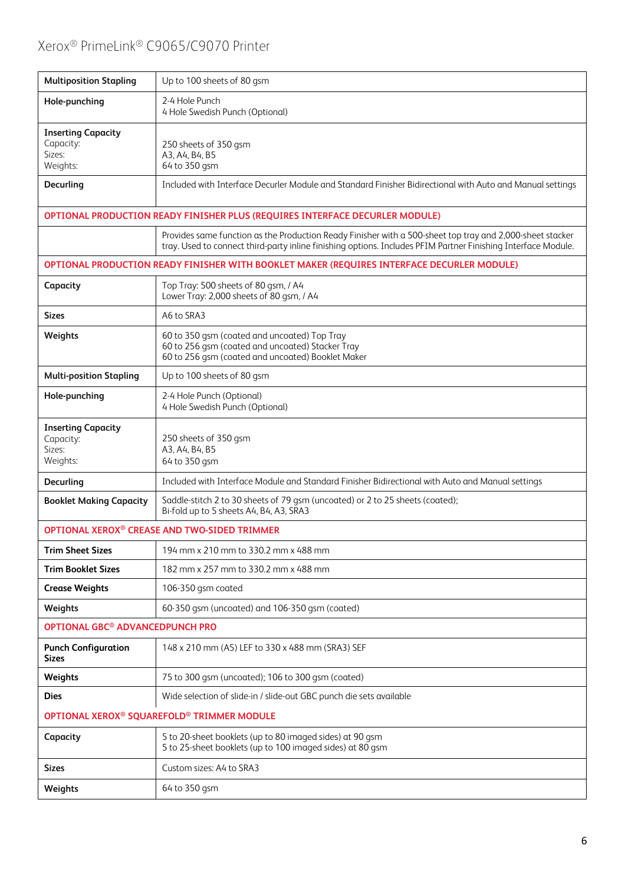| <b>Multiposition Stapling</b>                                | Up to 100 sheets of 80 gsm                                                                                                                                                                                                 |
|--------------------------------------------------------------|----------------------------------------------------------------------------------------------------------------------------------------------------------------------------------------------------------------------------|
| Hole-punching                                                | 2-4 Hole Punch<br>4 Hole Swedish Punch (Optional)                                                                                                                                                                          |
| <b>Inserting Capacity</b><br>Capacity:<br>Sizes:<br>Weights: | 250 sheets of 350 gsm<br>A3, A4, B4, B5<br>64 to 350 gsm                                                                                                                                                                   |
| Decurling                                                    | Included with Interface Decurler Module and Standard Finisher Bidirectional with Auto and Manual settings                                                                                                                  |
|                                                              | OPTIONAL PRODUCTION READY FINISHER PLUS (REQUIRES INTERFACE DECURLER MODULE)                                                                                                                                               |
|                                                              | Provides same function as the Production Ready Finisher with a 500-sheet top tray and 2,000-sheet stacker<br>tray. Used to connect third-party inline finishing options. Includes PFIM Partner Finishing Interface Module. |
|                                                              | OPTIONAL PRODUCTION READY FINISHER WITH BOOKLET MAKER (REQUIRES INTERFACE DECURLER MODULE)                                                                                                                                 |
| Capacity                                                     | Top Tray: 500 sheets of 80 gsm, / A4<br>Lower Tray: 2,000 sheets of 80 gsm, / A4                                                                                                                                           |
| <b>Sizes</b>                                                 | A6 to SRA3                                                                                                                                                                                                                 |
| Weights                                                      | 60 to 350 gsm (coated and uncoated) Top Tray<br>60 to 256 qsm (coated and uncoated) Stacker Tray<br>60 to 256 gsm (coated and uncoated) Booklet Maker                                                                      |
| <b>Multi-position Stapling</b>                               | Up to 100 sheets of 80 gsm                                                                                                                                                                                                 |
| Hole-punching                                                | 2-4 Hole Punch (Optional)<br>4 Hole Swedish Punch (Optional)                                                                                                                                                               |
| <b>Inserting Capacity</b><br>Capacity:<br>Sizes:<br>Weights: | 250 sheets of 350 gsm<br>A3, A4, B4, B5<br>64 to 350 gsm                                                                                                                                                                   |
| Decurling                                                    | Included with Interface Module and Standard Finisher Bidirectional with Auto and Manual settings                                                                                                                           |
| <b>Booklet Making Capacity</b>                               | Saddle-stitch 2 to 30 sheets of 79 gsm (uncoated) or 2 to 25 sheets (coated);<br>Bi-fold up to 5 sheets A4, B4, A3, SRA3                                                                                                   |
|                                                              | OPTIONAL XEROX® CREASE AND TWO-SIDED TRIMMER                                                                                                                                                                               |
| <b>Trim Sheet Sizes</b>                                      | 194 mm x 210 mm to 330.2 mm x 488 mm                                                                                                                                                                                       |
| <b>Trim Booklet Sizes</b>                                    | 182 mm x 257 mm to 330.2 mm x 488 mm                                                                                                                                                                                       |
| <b>Crease Weights</b>                                        | 106-350 gsm coated                                                                                                                                                                                                         |
| Weights                                                      | 60-350 gsm (uncoated) and 106-350 gsm (coated)                                                                                                                                                                             |
| OPTIONAL GBC <sup>®</sup> ADVANCEDPUNCH PRO                  |                                                                                                                                                                                                                            |
| <b>Punch Configuration</b><br><b>Sizes</b>                   | 148 x 210 mm (A5) LEF to 330 x 488 mm (SRA3) SEF                                                                                                                                                                           |
| Weights                                                      | 75 to 300 gsm (uncoated); 106 to 300 gsm (coated)                                                                                                                                                                          |
| <b>Dies</b>                                                  | Wide selection of slide-in / slide-out GBC punch die sets available                                                                                                                                                        |
|                                                              | OPTIONAL XEROX <sup>®</sup> SQUAREFOLD <sup>®</sup> TRIMMER MODULE                                                                                                                                                         |
| Capacity                                                     | 5 to 20-sheet booklets (up to 80 imaged sides) at 90 gsm<br>5 to 25-sheet booklets (up to 100 imaged sides) at 80 gsm                                                                                                      |
| <b>Sizes</b>                                                 | Custom sizes: A4 to SRA3                                                                                                                                                                                                   |
| Weights                                                      | 64 to 350 gsm                                                                                                                                                                                                              |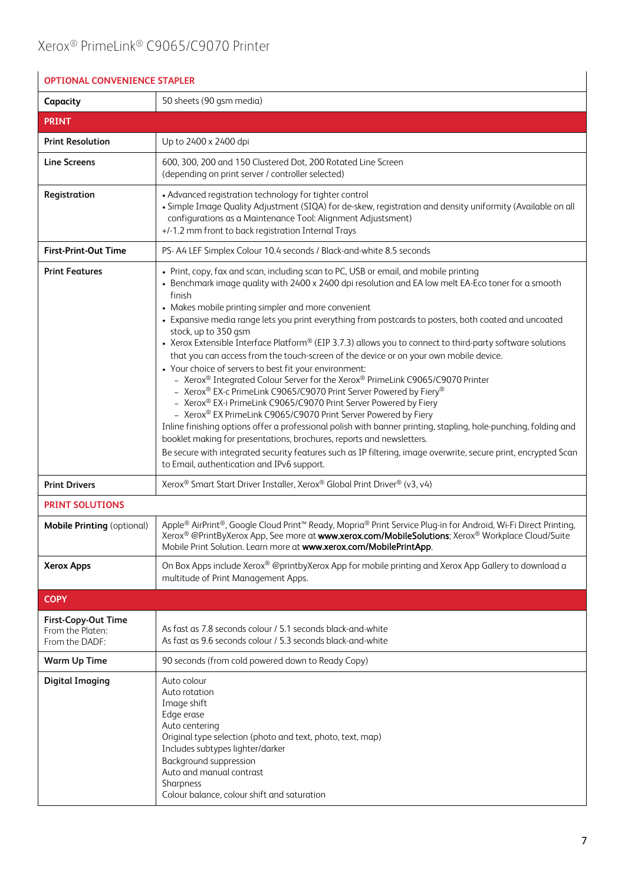| <b>OPTIONAL CONVENIENCE STAPLER</b>                              |                                                                                                                                                                                                                                                                                                                                                                                                                                                                                                                                                                                                                                                                                                                                                                                                                                                                                                                                                                                                                                                                                                                                                                                                                                                                                                                                                     |  |
|------------------------------------------------------------------|-----------------------------------------------------------------------------------------------------------------------------------------------------------------------------------------------------------------------------------------------------------------------------------------------------------------------------------------------------------------------------------------------------------------------------------------------------------------------------------------------------------------------------------------------------------------------------------------------------------------------------------------------------------------------------------------------------------------------------------------------------------------------------------------------------------------------------------------------------------------------------------------------------------------------------------------------------------------------------------------------------------------------------------------------------------------------------------------------------------------------------------------------------------------------------------------------------------------------------------------------------------------------------------------------------------------------------------------------------|--|
| Capacity                                                         | 50 sheets (90 qsm media)                                                                                                                                                                                                                                                                                                                                                                                                                                                                                                                                                                                                                                                                                                                                                                                                                                                                                                                                                                                                                                                                                                                                                                                                                                                                                                                            |  |
| <b>PRINT</b>                                                     |                                                                                                                                                                                                                                                                                                                                                                                                                                                                                                                                                                                                                                                                                                                                                                                                                                                                                                                                                                                                                                                                                                                                                                                                                                                                                                                                                     |  |
| <b>Print Resolution</b>                                          | Up to 2400 x 2400 dpi                                                                                                                                                                                                                                                                                                                                                                                                                                                                                                                                                                                                                                                                                                                                                                                                                                                                                                                                                                                                                                                                                                                                                                                                                                                                                                                               |  |
| <b>Line Screens</b>                                              | 600, 300, 200 and 150 Clustered Dot, 200 Rotated Line Screen<br>(depending on print server / controller selected)                                                                                                                                                                                                                                                                                                                                                                                                                                                                                                                                                                                                                                                                                                                                                                                                                                                                                                                                                                                                                                                                                                                                                                                                                                   |  |
| Registration                                                     | • Advanced registration technology for tighter control<br>· Simple Image Quality Adjustment (SIQA) for de-skew, registration and density uniformity (Available on all<br>configurations as a Maintenance Tool: Alignment Adjustsment)<br>+/-1.2 mm front to back registration Internal Trays                                                                                                                                                                                                                                                                                                                                                                                                                                                                                                                                                                                                                                                                                                                                                                                                                                                                                                                                                                                                                                                        |  |
| <b>First-Print-Out Time</b>                                      | PS- A4 LEF Simplex Colour 10.4 seconds / Black-and-white 8.5 seconds                                                                                                                                                                                                                                                                                                                                                                                                                                                                                                                                                                                                                                                                                                                                                                                                                                                                                                                                                                                                                                                                                                                                                                                                                                                                                |  |
| <b>Print Features</b>                                            | • Print, copy, fax and scan, including scan to PC, USB or email, and mobile printing<br>• Benchmark image quality with 2400 x 2400 dpi resolution and EA low melt EA-Eco toner for a smooth<br>finish<br>• Makes mobile printing simpler and more convenient<br>• Expansive media range lets you print everything from postcards to posters, both coated and uncoated<br>stock, up to 350 gsm<br>• Xerox Extensible Interface Platform® (EIP 3.7.3) allows you to connect to third-party software solutions<br>that you can access from the touch-screen of the device or on your own mobile device.<br>• Your choice of servers to best fit your environment:<br>- Xerox <sup>®</sup> Integrated Colour Server for the Xerox® PrimeLink C9065/C9070 Printer<br>- Xerox <sup>®</sup> EX-c PrimeLink C9065/C9070 Print Server Powered by Fiery®<br>- Xerox® EX-i PrimeLink C9065/C9070 Print Server Powered by Fiery<br>- Xerox® EX PrimeLink C9065/C9070 Print Server Powered by Fiery<br>Inline finishing options offer a professional polish with banner printing, stapling, hole-punching, folding and<br>booklet making for presentations, brochures, reports and newsletters.<br>Be secure with integrated security features such as IP filtering, image overwrite, secure print, encrypted Scan<br>to Email, authentication and IPv6 support. |  |
| <b>Print Drivers</b>                                             | Xerox® Smart Start Driver Installer, Xerox® Global Print Driver® (v3, v4)                                                                                                                                                                                                                                                                                                                                                                                                                                                                                                                                                                                                                                                                                                                                                                                                                                                                                                                                                                                                                                                                                                                                                                                                                                                                           |  |
| <b>PRINT SOLUTIONS</b>                                           |                                                                                                                                                                                                                                                                                                                                                                                                                                                                                                                                                                                                                                                                                                                                                                                                                                                                                                                                                                                                                                                                                                                                                                                                                                                                                                                                                     |  |
| <b>Mobile Printing (optional)</b>                                | Apple® AirPrint®, Google Cloud Print™ Ready, Mopria® Print Service Plug-in for Android, Wi-Fi Direct Printing,<br>Xerox® @PrintByXerox App, See more at www.xerox.com/MobileSolutions; Xerox® Workplace Cloud/Suite<br>Mobile Print Solution. Learn more at www.xerox.com/MobilePrintApp.                                                                                                                                                                                                                                                                                                                                                                                                                                                                                                                                                                                                                                                                                                                                                                                                                                                                                                                                                                                                                                                           |  |
| <b>Xerox Apps</b>                                                | On Box Apps include Xerox® @printbyXerox App for mobile printing and Xerox App Gallery to download a<br>multitude of Print Management Apps.                                                                                                                                                                                                                                                                                                                                                                                                                                                                                                                                                                                                                                                                                                                                                                                                                                                                                                                                                                                                                                                                                                                                                                                                         |  |
| <b>COPY</b>                                                      |                                                                                                                                                                                                                                                                                                                                                                                                                                                                                                                                                                                                                                                                                                                                                                                                                                                                                                                                                                                                                                                                                                                                                                                                                                                                                                                                                     |  |
| <b>First-Copy-Out Time</b><br>From the Platen:<br>From the DADF: | As fast as 7.8 seconds colour / 5.1 seconds black-and-white<br>As fast as 9.6 seconds colour / 5.3 seconds black-and-white                                                                                                                                                                                                                                                                                                                                                                                                                                                                                                                                                                                                                                                                                                                                                                                                                                                                                                                                                                                                                                                                                                                                                                                                                          |  |
| <b>Warm Up Time</b>                                              | 90 seconds (from cold powered down to Ready Copy)                                                                                                                                                                                                                                                                                                                                                                                                                                                                                                                                                                                                                                                                                                                                                                                                                                                                                                                                                                                                                                                                                                                                                                                                                                                                                                   |  |
| <b>Digital Imaging</b>                                           | Auto colour<br>Auto rotation<br>Image shift<br>Edge erase<br>Auto centering<br>Original type selection (photo and text, photo, text, map)<br>Includes subtypes lighter/darker<br>Background suppression<br>Auto and manual contrast<br>Sharpness<br>Colour balance, colour shift and saturation                                                                                                                                                                                                                                                                                                                                                                                                                                                                                                                                                                                                                                                                                                                                                                                                                                                                                                                                                                                                                                                     |  |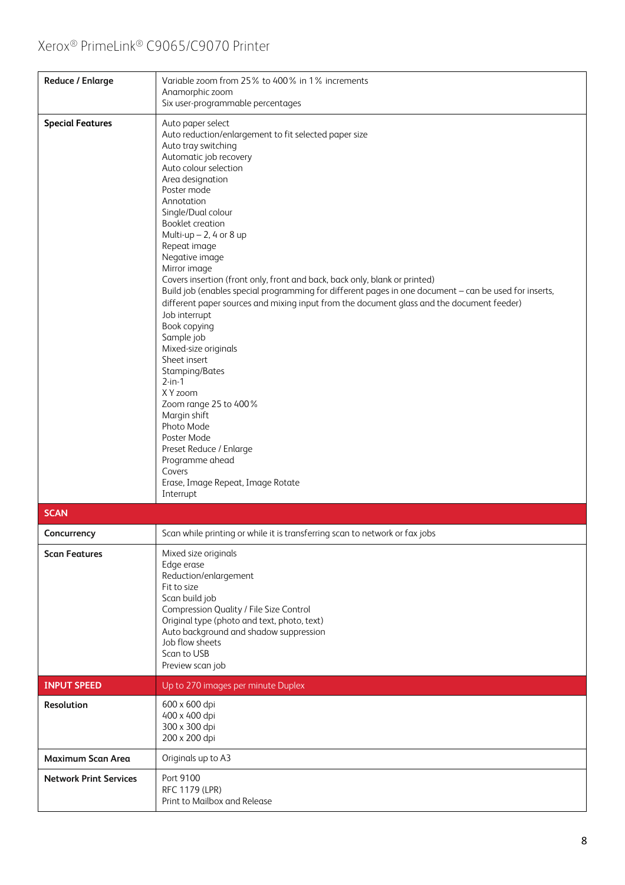| <b>Reduce / Enlarge</b>       | Variable zoom from 25% to 400% in 1% increments<br>Anamorphic zoom<br>Six user-programmable percentages                                                                                                                                                                                                                                                                                                                                                                                                                                                                                                                                                                                                                                                                                                                                                                                                                                     |
|-------------------------------|---------------------------------------------------------------------------------------------------------------------------------------------------------------------------------------------------------------------------------------------------------------------------------------------------------------------------------------------------------------------------------------------------------------------------------------------------------------------------------------------------------------------------------------------------------------------------------------------------------------------------------------------------------------------------------------------------------------------------------------------------------------------------------------------------------------------------------------------------------------------------------------------------------------------------------------------|
| <b>Special Features</b>       | Auto paper select<br>Auto reduction/enlargement to fit selected paper size<br>Auto tray switching<br>Automatic job recovery<br>Auto colour selection<br>Area designation<br>Poster mode<br>Annotation<br>Single/Dual colour<br><b>Booklet creation</b><br>Multi-up $- 2$ , 4 or 8 up<br>Repeat image<br>Negative image<br>Mirror image<br>Covers insertion (front only, front and back, back only, blank or printed)<br>Build job (enables special programming for different pages in one document - can be used for inserts,<br>different paper sources and mixing input from the document glass and the document feeder)<br>Job interrupt<br>Book copying<br>Sample job<br>Mixed-size originals<br>Sheet insert<br>Stamping/Bates<br>$2-in-1$<br>X Y zoom<br>Zoom range 25 to 400%<br>Margin shift<br>Photo Mode<br>Poster Mode<br>Preset Reduce / Enlarge<br>Programme ahead<br>Covers<br>Erase, Image Repeat, Image Rotate<br>Interrupt |
| <b>SCAN</b>                   |                                                                                                                                                                                                                                                                                                                                                                                                                                                                                                                                                                                                                                                                                                                                                                                                                                                                                                                                             |
| Concurrency                   | Scan while printing or while it is transferring scan to network or fax jobs                                                                                                                                                                                                                                                                                                                                                                                                                                                                                                                                                                                                                                                                                                                                                                                                                                                                 |
| <b>Scan Features</b>          | Mixed size originals<br>Edge erase<br>Reduction/enlargement<br>Fit to size<br>Scan build job<br>Compression Quality / File Size Control<br>Original type (photo and text, photo, text)<br>Auto background and shadow suppression<br>Job flow sheets<br>Scan to USB<br>Preview scan job                                                                                                                                                                                                                                                                                                                                                                                                                                                                                                                                                                                                                                                      |
| <b>INPUT SPEED</b>            | Up to 270 images per minute Duplex                                                                                                                                                                                                                                                                                                                                                                                                                                                                                                                                                                                                                                                                                                                                                                                                                                                                                                          |
| Resolution                    | 600 x 600 dpi<br>400 x 400 dpi<br>300 x 300 dpi<br>200 x 200 dpi                                                                                                                                                                                                                                                                                                                                                                                                                                                                                                                                                                                                                                                                                                                                                                                                                                                                            |
| <b>Maximum Scan Area</b>      | Originals up to A3                                                                                                                                                                                                                                                                                                                                                                                                                                                                                                                                                                                                                                                                                                                                                                                                                                                                                                                          |
| <b>Network Print Services</b> | Port 9100<br>RFC 1179 (LPR)<br>Print to Mailbox and Release                                                                                                                                                                                                                                                                                                                                                                                                                                                                                                                                                                                                                                                                                                                                                                                                                                                                                 |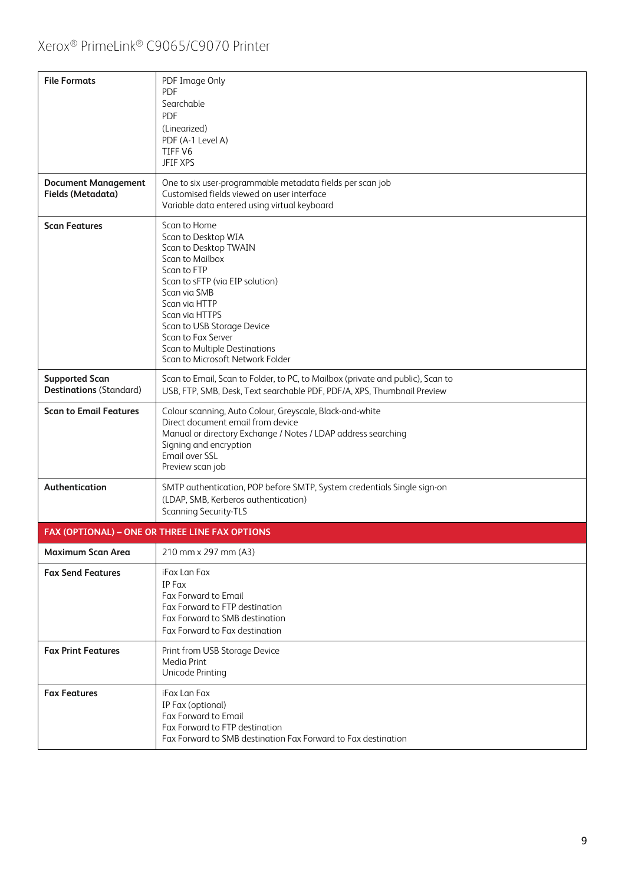| <b>File Formats</b>                                     | PDF Image Only<br><b>PDF</b><br>Searchable<br><b>PDF</b><br>(Linearized)<br>PDF (A-1 Level A)<br>TIFF V6<br><b>JFIF XPS</b>                                                                                                                                                                                   |
|---------------------------------------------------------|---------------------------------------------------------------------------------------------------------------------------------------------------------------------------------------------------------------------------------------------------------------------------------------------------------------|
| <b>Document Management</b><br>Fields (Metadata)         | One to six user-programmable metadata fields per scan job<br>Customised fields viewed on user interface<br>Variable data entered using virtual keyboard                                                                                                                                                       |
| <b>Scan Features</b>                                    | Scan to Home<br>Scan to Desktop WIA<br>Scan to Desktop TWAIN<br>Scan to Mailbox<br>Scan to FTP<br>Scan to sFTP (via EIP solution)<br>Scan via SMB<br>Scan via HTTP<br>Scan via HTTPS<br>Scan to USB Storage Device<br>Scan to Fax Server<br>Scan to Multiple Destinations<br>Scan to Microsoft Network Folder |
| <b>Supported Scan</b><br><b>Destinations (Standard)</b> | Scan to Email, Scan to Folder, to PC, to Mailbox (private and public), Scan to<br>USB, FTP, SMB, Desk, Text searchable PDF, PDF/A, XPS, Thumbnail Preview                                                                                                                                                     |
| <b>Scan to Email Features</b>                           | Colour scanning, Auto Colour, Greyscale, Black-and-white<br>Direct document email from device<br>Manual or directory Exchange / Notes / LDAP address searching<br>Signing and encryption<br>Email over SSL<br>Preview scan job                                                                                |
| Authentication                                          | SMTP authentication, POP before SMTP, System credentials Single sign-on<br>(LDAP, SMB, Kerberos authentication)<br><b>Scanning Security-TLS</b>                                                                                                                                                               |
|                                                         | FAX (OPTIONAL) - ONE OR THREE LINE FAX OPTIONS                                                                                                                                                                                                                                                                |
| <b>Maximum Scan Area</b>                                | 210 mm x 297 mm (A3)                                                                                                                                                                                                                                                                                          |
| <b>Fax Send Features</b>                                | iFax Lan Fax<br>IP Fax<br><b>Fax Forward to Email</b><br>Fax Forward to FTP destination<br>Fax Forward to SMB destination<br>Fax Forward to Fax destination                                                                                                                                                   |
| <b>Fax Print Features</b>                               | Print from USB Storage Device<br>Media Print<br>Unicode Printing                                                                                                                                                                                                                                              |
| <b>Fax Features</b>                                     | iFax Lan Fax<br>IP Fax (optional)<br>Fax Forward to Email<br>Fax Forward to FTP destination<br>Fax Forward to SMB destination Fax Forward to Fax destination                                                                                                                                                  |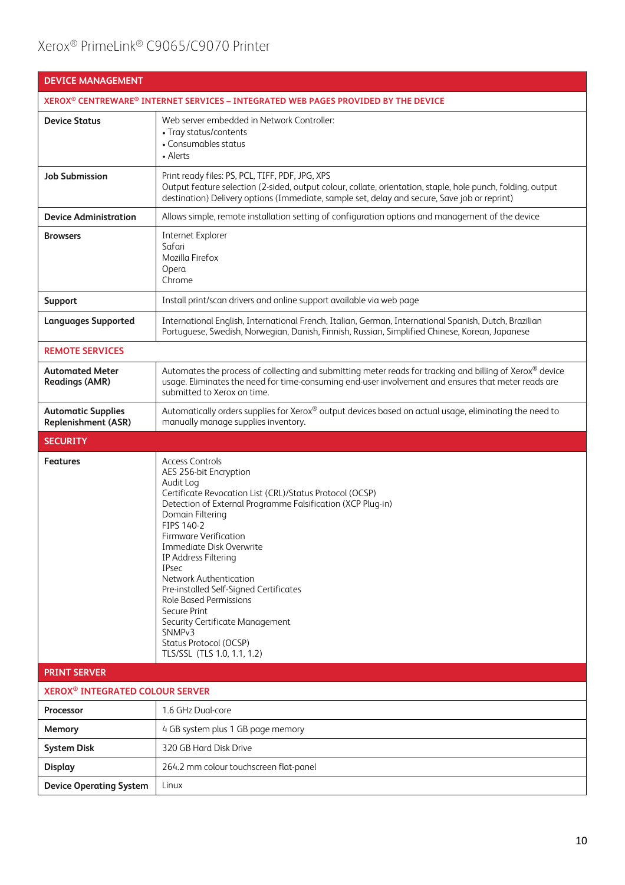| <b>DEVICE MANAGEMENT</b>                                                           |                                                                                                                                                                                                                                                                                                                                                                                                                                                                                                                                                                              |  |
|------------------------------------------------------------------------------------|------------------------------------------------------------------------------------------------------------------------------------------------------------------------------------------------------------------------------------------------------------------------------------------------------------------------------------------------------------------------------------------------------------------------------------------------------------------------------------------------------------------------------------------------------------------------------|--|
| XEROX® CENTREWARE® INTERNET SERVICES - INTEGRATED WEB PAGES PROVIDED BY THE DEVICE |                                                                                                                                                                                                                                                                                                                                                                                                                                                                                                                                                                              |  |
| <b>Device Status</b>                                                               | Web server embedded in Network Controller:<br>• Tray status/contents<br>• Consumables status<br>• Alerts                                                                                                                                                                                                                                                                                                                                                                                                                                                                     |  |
| <b>Job Submission</b>                                                              | Print ready files: PS, PCL, TIFF, PDF, JPG, XPS<br>Output feature selection (2-sided, output colour, collate, orientation, staple, hole punch, folding, output<br>destination) Delivery options (Immediate, sample set, delay and secure, Save job or reprint)                                                                                                                                                                                                                                                                                                               |  |
| <b>Device Administration</b>                                                       | Allows simple, remote installation setting of configuration options and management of the device                                                                                                                                                                                                                                                                                                                                                                                                                                                                             |  |
| <b>Browsers</b>                                                                    | Internet Explorer<br>Safari<br>Mozilla Firefox<br>Opera<br>Chrome                                                                                                                                                                                                                                                                                                                                                                                                                                                                                                            |  |
| Support                                                                            | Install print/scan drivers and online support available via web page                                                                                                                                                                                                                                                                                                                                                                                                                                                                                                         |  |
| <b>Languages Supported</b>                                                         | International English, International French, Italian, German, International Spanish, Dutch, Brazilian<br>Portuguese, Swedish, Norwegian, Danish, Finnish, Russian, Simplified Chinese, Korean, Japanese                                                                                                                                                                                                                                                                                                                                                                      |  |
| <b>REMOTE SERVICES</b>                                                             |                                                                                                                                                                                                                                                                                                                                                                                                                                                                                                                                                                              |  |
| <b>Automated Meter</b><br><b>Readings (AMR)</b>                                    | Automates the process of collecting and submitting meter reads for tracking and billing of Xerox® device<br>usage. Eliminates the need for time-consuming end-user involvement and ensures that meter reads are<br>submitted to Xerox on time.                                                                                                                                                                                                                                                                                                                               |  |
| <b>Automatic Supplies</b><br><b>Replenishment (ASR)</b>                            | Automatically orders supplies for Xerox® output devices based on actual usage, eliminating the need to<br>manually manage supplies inventory.                                                                                                                                                                                                                                                                                                                                                                                                                                |  |
| <b>SECURITY</b>                                                                    |                                                                                                                                                                                                                                                                                                                                                                                                                                                                                                                                                                              |  |
| <b>Features</b>                                                                    | <b>Access Controls</b><br>AES 256-bit Encryption<br>Audit Log<br>Certificate Revocation List (CRL)/Status Protocol (OCSP)<br>Detection of External Programme Falsification (XCP Plug-in)<br>Domain Filtering<br>FIPS 140-2<br><b>Firmware Verification</b><br><b>Immediate Disk Overwrite</b><br>IP Address Filtering<br><b>IPsec</b><br>Network Authentication<br>Pre-installed Self-Signed Certificates<br><b>Role Based Permissions</b><br>Secure Print<br>Security Certificate Management<br>SNMP <sub>v3</sub><br>Status Protocol (OCSP)<br>TLS/SSL (TLS 1.0, 1.1, 1.2) |  |
| <b>PRINT SERVER</b>                                                                |                                                                                                                                                                                                                                                                                                                                                                                                                                                                                                                                                                              |  |
| <b>XEROX<sup>®</sup> INTEGRATED COLOUR SERVER</b>                                  |                                                                                                                                                                                                                                                                                                                                                                                                                                                                                                                                                                              |  |
| Processor                                                                          | 1.6 GHz Dual-core                                                                                                                                                                                                                                                                                                                                                                                                                                                                                                                                                            |  |
| Memory                                                                             | 4 GB system plus 1 GB page memory                                                                                                                                                                                                                                                                                                                                                                                                                                                                                                                                            |  |
| <b>System Disk</b>                                                                 | 320 GB Hard Disk Drive                                                                                                                                                                                                                                                                                                                                                                                                                                                                                                                                                       |  |
| <b>Display</b>                                                                     | 264.2 mm colour touchscreen flat-panel                                                                                                                                                                                                                                                                                                                                                                                                                                                                                                                                       |  |
| <b>Device Operating System</b>                                                     | Linux                                                                                                                                                                                                                                                                                                                                                                                                                                                                                                                                                                        |  |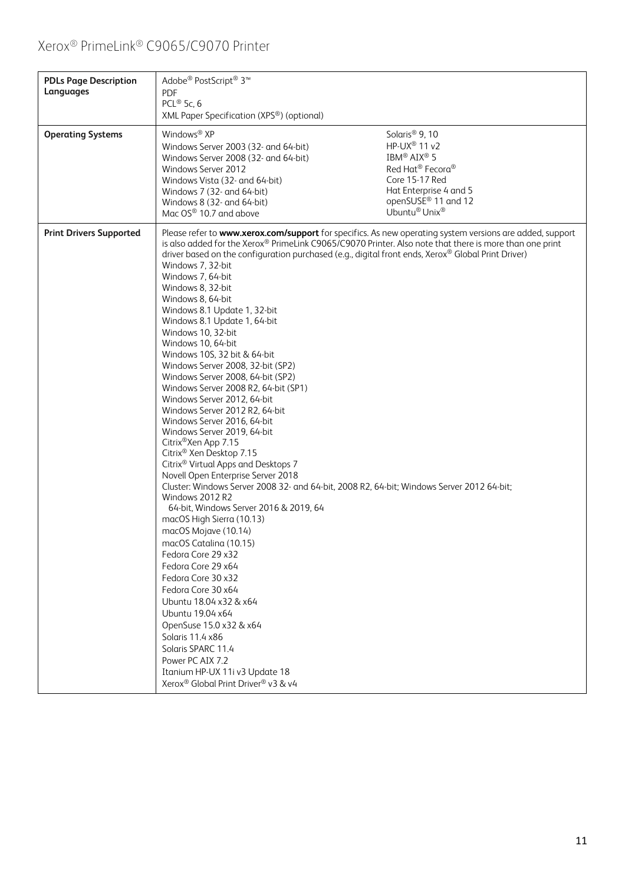| <b>PDLs Page Description</b><br>Languages | Adobe® PostScript® 3™<br><b>PDF</b><br>PCL® 5c, 6<br>XML Paper Specification (XPS®) (optional)                                                                                                                                                                                                                                                                                                                                                                                                                                                                                                                                                                                                                                                                                                                                                                                                                                                                                                                                                                                                                                                                                                                                                                                                                                                                                                                                                                                                                                    |                                                                                                                                                                                                                                           |
|-------------------------------------------|-----------------------------------------------------------------------------------------------------------------------------------------------------------------------------------------------------------------------------------------------------------------------------------------------------------------------------------------------------------------------------------------------------------------------------------------------------------------------------------------------------------------------------------------------------------------------------------------------------------------------------------------------------------------------------------------------------------------------------------------------------------------------------------------------------------------------------------------------------------------------------------------------------------------------------------------------------------------------------------------------------------------------------------------------------------------------------------------------------------------------------------------------------------------------------------------------------------------------------------------------------------------------------------------------------------------------------------------------------------------------------------------------------------------------------------------------------------------------------------------------------------------------------------|-------------------------------------------------------------------------------------------------------------------------------------------------------------------------------------------------------------------------------------------|
| <b>Operating Systems</b>                  | Windows <sup>®</sup> XP<br>Windows Server 2003 (32- and 64-bit)<br>Windows Server 2008 (32- and 64-bit)<br>Windows Server 2012<br>Windows Vista (32- and 64-bit)<br>Windows 7 (32- and 64-bit)<br>Windows 8 (32- and 64-bit)<br>Mac OS® 10.7 and above                                                                                                                                                                                                                                                                                                                                                                                                                                                                                                                                                                                                                                                                                                                                                                                                                                                                                                                                                                                                                                                                                                                                                                                                                                                                            | Solaris <sup>®</sup> 9, 10<br>HP-UX <sup>®</sup> 11 v2<br>IBM <sup>®</sup> AIX <sup>®</sup> 5<br>Red Hat <sup>®</sup> Fecora <sup>®</sup><br>Core 15-17 Red<br>Hat Enterprise 4 and 5<br>openSUSE <sup>®</sup> 11 and 12<br>Ubuntu® Unix® |
| <b>Print Drivers Supported</b>            | Please refer to www.xerox.com/support for specifics. As new operating system versions are added, support<br>is also added for the Xerox® PrimeLink C9065/C9070 Printer. Also note that there is more than one print<br>driver based on the configuration purchased (e.g., digital front ends, Xerox® Global Print Driver)<br>Windows 7, 32-bit<br>Windows 7, 64-bit<br>Windows 8, 32-bit<br>Windows 8, 64-bit<br>Windows 8.1 Update 1, 32-bit<br>Windows 8.1 Update 1, 64-bit<br>Windows 10, 32-bit<br>Windows 10, 64-bit<br>Windows 10S, 32 bit & 64-bit<br>Windows Server 2008, 32-bit (SP2)<br>Windows Server 2008, 64-bit (SP2)<br>Windows Server 2008 R2, 64-bit (SP1)<br>Windows Server 2012, 64-bit<br>Windows Server 2012 R2, 64-bit<br>Windows Server 2016, 64-bit<br>Windows Server 2019, 64-bit<br>Citrix <sup>®</sup> Xen App 7.15<br>Citrix <sup>®</sup> Xen Desktop 7.15<br>Citrix <sup>®</sup> Virtual Apps and Desktops 7<br>Novell Open Enterprise Server 2018<br>Cluster: Windows Server 2008 32- and 64-bit, 2008 R2, 64-bit; Windows Server 2012 64-bit;<br>Windows 2012 R2<br>64-bit, Windows Server 2016 & 2019, 64<br>macOS High Sierra (10.13)<br>macOS Mojave (10.14)<br>macOS Catalina (10.15)<br>Fedora Core 29 x32<br>Fedora Core 29 x64<br>Fedora Core 30 x 32<br>Fedora Core 30 x64<br>Ubuntu 18.04 x32 & x64<br>Ubuntu 19.04 x64<br>OpenSuse 15.0 x32 & x64<br>Solaris 11.4 x86<br>Solaris SPARC 11.4<br>Power PC AIX 7.2<br>Itanium HP-UX 11i v3 Update 18<br>Xerox® Global Print Driver® v3 & v4 |                                                                                                                                                                                                                                           |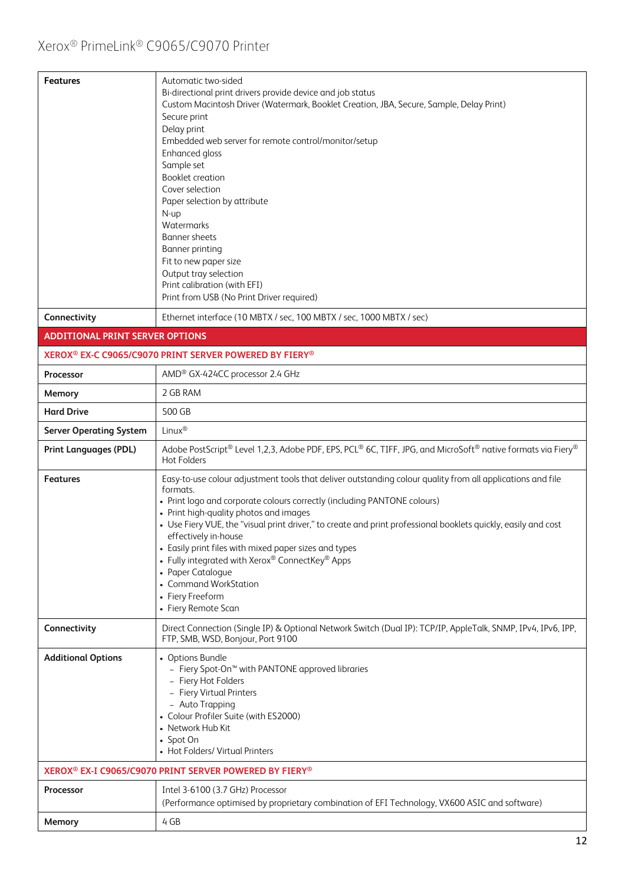| <b>Features</b>                        | Automatic two-sided<br>Bi-directional print drivers provide device and job status<br>Custom Macintosh Driver (Watermark, Booklet Creation, JBA, Secure, Sample, Delay Print)<br>Secure print<br>Delay print<br>Embedded web server for remote control/monitor/setup<br>Enhanced gloss<br>Sample set<br><b>Booklet creation</b><br>Cover selection<br>Paper selection by attribute<br>N-up<br>Watermarks<br><b>Banner</b> sheets<br><b>Banner printing</b><br>Fit to new paper size<br>Output tray selection<br>Print calibration (with EFI)<br>Print from USB (No Print Driver required)    |
|----------------------------------------|---------------------------------------------------------------------------------------------------------------------------------------------------------------------------------------------------------------------------------------------------------------------------------------------------------------------------------------------------------------------------------------------------------------------------------------------------------------------------------------------------------------------------------------------------------------------------------------------|
| Connectivity                           | Ethernet interface (10 MBTX / sec, 100 MBTX / sec, 1000 MBTX / sec)                                                                                                                                                                                                                                                                                                                                                                                                                                                                                                                         |
| <b>ADDITIONAL PRINT SERVER OPTIONS</b> |                                                                                                                                                                                                                                                                                                                                                                                                                                                                                                                                                                                             |
|                                        | XEROX <sup>®</sup> EX-C C9065/C9070 PRINT SERVER POWERED BY FIERY <sup>®</sup>                                                                                                                                                                                                                                                                                                                                                                                                                                                                                                              |
| Processor                              | AMD® GX-424CC processor 2.4 GHz                                                                                                                                                                                                                                                                                                                                                                                                                                                                                                                                                             |
| Memory                                 | 2 GB RAM                                                                                                                                                                                                                                                                                                                                                                                                                                                                                                                                                                                    |
| <b>Hard Drive</b>                      | 500 GB                                                                                                                                                                                                                                                                                                                                                                                                                                                                                                                                                                                      |
| <b>Server Operating System</b>         | Linux®                                                                                                                                                                                                                                                                                                                                                                                                                                                                                                                                                                                      |
| <b>Print Languages (PDL)</b>           | Adobe PostScript® Level 1,2,3, Adobe PDF, EPS, PCL® 6C, TIFF, JPG, and MicroSoft® native formats via Fiery®<br>Hot Folders                                                                                                                                                                                                                                                                                                                                                                                                                                                                  |
| <b>Features</b>                        | Easy-to-use colour adjustment tools that deliver outstanding colour quality from all applications and file<br>formats.<br>• Print logo and corporate colours correctly (including PANTONE colours)<br>• Print high-quality photos and images<br>• Use Fiery VUE, the "visual print driver," to create and print professional booklets quickly, easily and cost<br>effectively in-house<br>• Easily print files with mixed paper sizes and types<br>• Fully integrated with Xerox® ConnectKey® Apps<br>• Paper Catalogue<br>• Command WorkStation<br>• Fiery Freeform<br>• Fiery Remote Scan |
| Connectivity                           | Direct Connection (Single IP) & Optional Network Switch (Dual IP): TCP/IP, AppleTalk, SNMP, IPv4, IPv6, IPP,<br>FTP, SMB, WSD, Bonjour, Port 9100                                                                                                                                                                                                                                                                                                                                                                                                                                           |
| <b>Additional Options</b>              | • Options Bundle<br>- Fiery Spot-On <sup>™</sup> with PANTONE approved libraries<br>- Fiery Hot Folders<br>- Fiery Virtual Printers<br>- Auto Trapping<br>• Colour Profiler Suite (with ES2000)<br>• Network Hub Kit<br>• Spot On<br>• Hot Folders/ Virtual Printers                                                                                                                                                                                                                                                                                                                        |
|                                        | XEROX® EX-I C9065/C9070 PRINT SERVER POWERED BY FIERY®                                                                                                                                                                                                                                                                                                                                                                                                                                                                                                                                      |
| Processor                              | Intel 3-6100 (3.7 GHz) Processor<br>(Performance optimised by proprietary combination of EFI Technology, VX600 ASIC and software)                                                                                                                                                                                                                                                                                                                                                                                                                                                           |
| Memory                                 | 4 GB                                                                                                                                                                                                                                                                                                                                                                                                                                                                                                                                                                                        |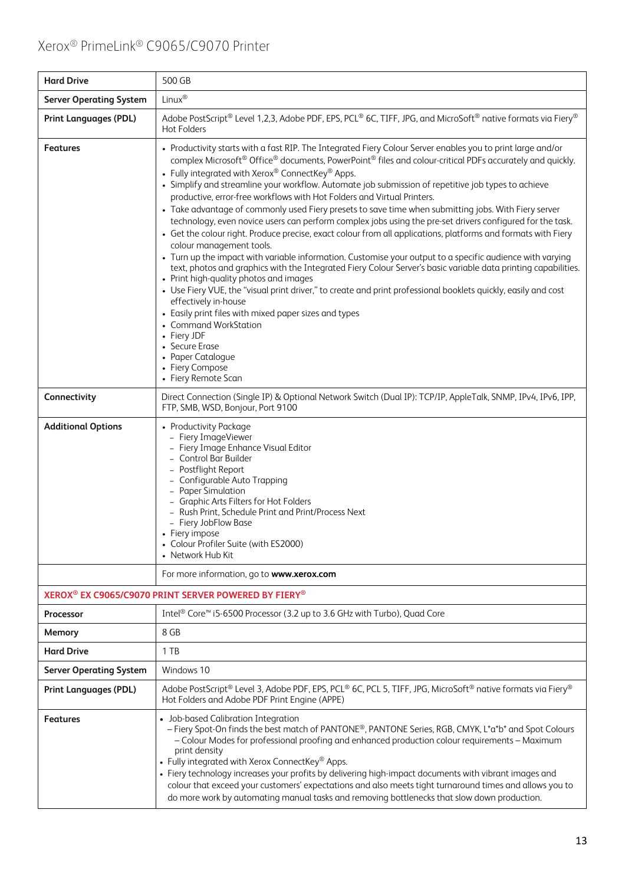| <b>Hard Drive</b>                                                            | 500 GB                                                                                                                                                                                                                                                                                                                                                                                                                                                                                                                                                                                                                                                                                                                                                                                                                                                                                                                                                                                                                                                                                                                                                                                                                                                                                                                                                                                                                             |  |  |
|------------------------------------------------------------------------------|------------------------------------------------------------------------------------------------------------------------------------------------------------------------------------------------------------------------------------------------------------------------------------------------------------------------------------------------------------------------------------------------------------------------------------------------------------------------------------------------------------------------------------------------------------------------------------------------------------------------------------------------------------------------------------------------------------------------------------------------------------------------------------------------------------------------------------------------------------------------------------------------------------------------------------------------------------------------------------------------------------------------------------------------------------------------------------------------------------------------------------------------------------------------------------------------------------------------------------------------------------------------------------------------------------------------------------------------------------------------------------------------------------------------------------|--|--|
| <b>Server Operating System</b>                                               | Linux®                                                                                                                                                                                                                                                                                                                                                                                                                                                                                                                                                                                                                                                                                                                                                                                                                                                                                                                                                                                                                                                                                                                                                                                                                                                                                                                                                                                                                             |  |  |
| <b>Print Languages (PDL)</b>                                                 | Adobe PostScript® Level 1,2,3, Adobe PDF, EPS, PCL® 6C, TIFF, JPG, and MicroSoft® native formats via Fiery®<br><b>Hot Folders</b>                                                                                                                                                                                                                                                                                                                                                                                                                                                                                                                                                                                                                                                                                                                                                                                                                                                                                                                                                                                                                                                                                                                                                                                                                                                                                                  |  |  |
| <b>Features</b>                                                              | • Productivity starts with a fast RIP. The Integrated Fiery Colour Server enables you to print large and/or<br>complex Microsoft® Office® documents, PowerPoint® files and colour-critical PDFs accurately and quickly.<br>• Fully integrated with Xerox® ConnectKey® Apps.<br>• Simplify and streamline your workflow. Automate job submission of repetitive job types to achieve<br>productive, error-free workflows with Hot Folders and Virtual Printers.<br>• Take advantage of commonly used Fiery presets to save time when submitting jobs. With Fiery server<br>technology, even novice users can perform complex jobs using the pre-set drivers configured for the task.<br>• Get the colour right. Produce precise, exact colour from all applications, platforms and formats with Fiery<br>colour management tools.<br>• Turn up the impact with variable information. Customise your output to a specific audience with varying<br>text, photos and graphics with the Integrated Fiery Colour Server's basic variable data printing capabilities.<br>• Print high-quality photos and images<br>• Use Fiery VUE, the "visual print driver," to create and print professional booklets quickly, easily and cost<br>effectively in-house<br>• Easily print files with mixed paper sizes and types<br>• Command WorkStation<br>• Fiery JDF<br>Secure Erase<br>• Paper Catalogue<br>• Fiery Compose<br>• Fiery Remote Scan |  |  |
| Connectivity                                                                 | Direct Connection (Single IP) & Optional Network Switch (Dual IP): TCP/IP, AppleTalk, SNMP, IPv4, IPv6, IPP,<br>FTP, SMB, WSD, Bonjour, Port 9100                                                                                                                                                                                                                                                                                                                                                                                                                                                                                                                                                                                                                                                                                                                                                                                                                                                                                                                                                                                                                                                                                                                                                                                                                                                                                  |  |  |
| <b>Additional Options</b>                                                    | • Productivity Package<br>- Fiery ImageViewer<br>- Fiery Image Enhance Visual Editor<br>Control Bar Builder<br>- Postflight Report<br>- Configurable Auto Trapping<br>- Paper Simulation<br>- Graphic Arts Filters for Hot Folders<br>- Rush Print, Schedule Print and Print/Process Next<br>- Fiery JobFlow Base<br>• Fiery impose<br>• Colour Profiler Suite (with ES2000)<br>• Network Hub Kit                                                                                                                                                                                                                                                                                                                                                                                                                                                                                                                                                                                                                                                                                                                                                                                                                                                                                                                                                                                                                                  |  |  |
|                                                                              | For more information, go to www.xerox.com                                                                                                                                                                                                                                                                                                                                                                                                                                                                                                                                                                                                                                                                                                                                                                                                                                                                                                                                                                                                                                                                                                                                                                                                                                                                                                                                                                                          |  |  |
| XEROX <sup>®</sup> EX C9065/C9070 PRINT SERVER POWERED BY FIERY <sup>®</sup> |                                                                                                                                                                                                                                                                                                                                                                                                                                                                                                                                                                                                                                                                                                                                                                                                                                                                                                                                                                                                                                                                                                                                                                                                                                                                                                                                                                                                                                    |  |  |
| Processor                                                                    | Intel <sup>®</sup> Core <sup>™</sup> i5-6500 Processor (3.2 up to 3.6 GHz with Turbo), Quad Core                                                                                                                                                                                                                                                                                                                                                                                                                                                                                                                                                                                                                                                                                                                                                                                                                                                                                                                                                                                                                                                                                                                                                                                                                                                                                                                                   |  |  |
| Memory                                                                       | 8 GB                                                                                                                                                                                                                                                                                                                                                                                                                                                                                                                                                                                                                                                                                                                                                                                                                                                                                                                                                                                                                                                                                                                                                                                                                                                                                                                                                                                                                               |  |  |
| <b>Hard Drive</b>                                                            | 1 TB                                                                                                                                                                                                                                                                                                                                                                                                                                                                                                                                                                                                                                                                                                                                                                                                                                                                                                                                                                                                                                                                                                                                                                                                                                                                                                                                                                                                                               |  |  |
| <b>Server Operating System</b>                                               | Windows 10                                                                                                                                                                                                                                                                                                                                                                                                                                                                                                                                                                                                                                                                                                                                                                                                                                                                                                                                                                                                                                                                                                                                                                                                                                                                                                                                                                                                                         |  |  |
| <b>Print Languages (PDL)</b>                                                 | Adobe PostScript® Level 3, Adobe PDF, EPS, PCL® 6C, PCL 5, TIFF, JPG, MicroSoft® native formats via Fiery®<br>Hot Folders and Adobe PDF Print Engine (APPE)                                                                                                                                                                                                                                                                                                                                                                                                                                                                                                                                                                                                                                                                                                                                                                                                                                                                                                                                                                                                                                                                                                                                                                                                                                                                        |  |  |
| <b>Features</b>                                                              | • Job-based Calibration Integration<br>- Fiery Spot-On finds the best match of PANTONE®, PANTONE Series, RGB, CMYK, L*a*b* and Spot Colours<br>- Colour Modes for professional proofing and enhanced production colour requirements - Maximum<br>print density<br>• Fully integrated with Xerox ConnectKey® Apps.<br>• Fiery technology increases your profits by delivering high-impact documents with vibrant images and<br>colour that exceed your customers' expectations and also meets tight turnaround times and allows you to<br>do more work by automating manual tasks and removing bottlenecks that slow down production.                                                                                                                                                                                                                                                                                                                                                                                                                                                                                                                                                                                                                                                                                                                                                                                               |  |  |